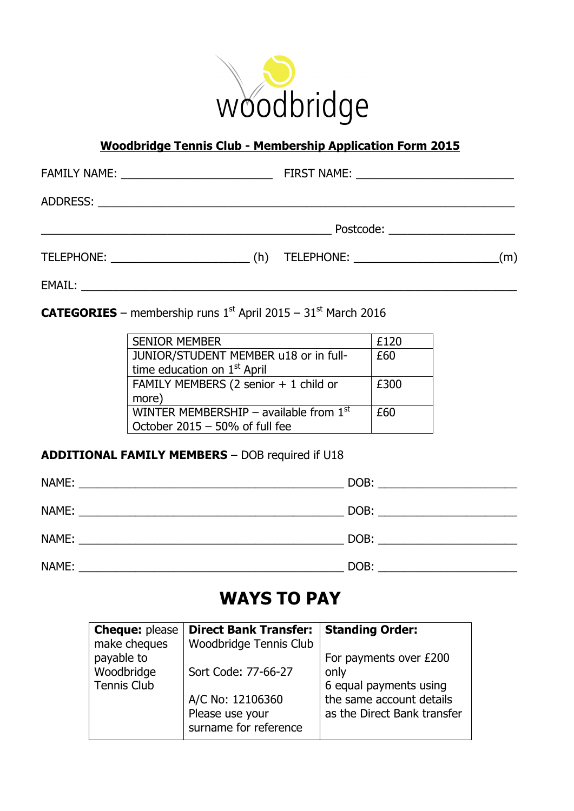

## **Woodbridge Tennis Club - Membership Application Form 2015**

|                              | FIRST NAME: _________________________________ |
|------------------------------|-----------------------------------------------|
|                              |                                               |
|                              | Postcode: ________________________            |
| TELEPHONE: TELEPHONE:<br>(h) | (m)                                           |

**CATEGORIES** – membership runs  $1^{st}$  April 2015 –  $31^{st}$  March 2016

EMAIL: \_\_\_\_\_\_\_\_\_\_\_\_\_\_\_\_\_\_\_\_\_\_\_\_\_\_\_\_\_\_\_\_\_\_\_\_\_\_\_\_\_\_\_\_\_\_\_\_\_\_\_\_\_\_\_\_\_\_\_\_\_\_\_\_\_\_\_\_\_

| <b>SENIOR MEMBER</b>                     | £120 |
|------------------------------------------|------|
| JUNIOR/STUDENT MEMBER u18 or in full-    | £60  |
| time education on 1 <sup>st</sup> April  |      |
| FAMILY MEMBERS (2 senior + 1 child or    | £300 |
| more)                                    |      |
| WINTER MEMBERSHIP - available from $1st$ | £60  |
| October 2015 - 50% of full fee           |      |

#### **ADDITIONAL FAMILY MEMBERS** – DOB required if U18

| NAME: | DOB:                                                                            |
|-------|---------------------------------------------------------------------------------|
|       | the contract of the contract of the contract of the contract of the contract of |
| NAME: | DOB:                                                                            |
|       |                                                                                 |
| NAME: | DOB:                                                                            |
| NAME: | DOB:                                                                            |

# **WAYS TO PAY**

| <b>Cheque: please</b><br>make cheques | <b>Direct Bank Transfer:</b><br>Woodbridge Tennis Club | <b>Standing Order:</b>      |
|---------------------------------------|--------------------------------------------------------|-----------------------------|
| payable to                            |                                                        | For payments over £200      |
| Woodbridge                            | Sort Code: 77-66-27                                    | only                        |
| <b>Tennis Club</b>                    |                                                        | 6 equal payments using      |
|                                       | A/C No: 12106360                                       | the same account details    |
|                                       | Please use your<br>surname for reference               | as the Direct Bank transfer |
|                                       |                                                        |                             |